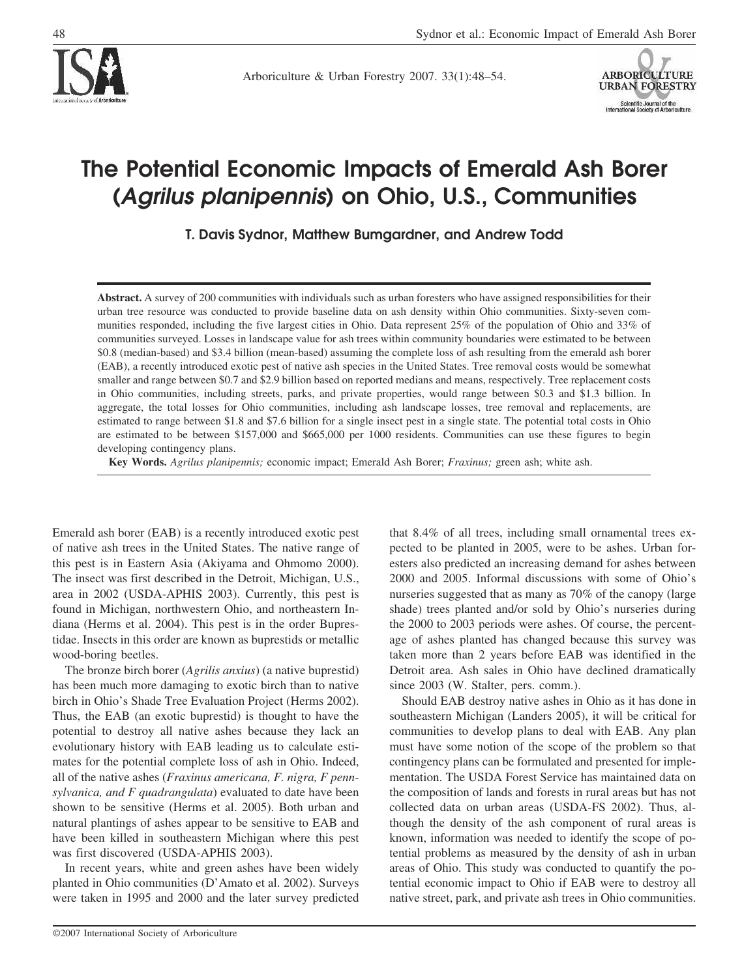

Arboriculture & Urban Forestry 2007. 33(1):48–54.



# **The Potential Economic Impacts of Emerald Ash Borer (***Agrilus planipennis***) on Ohio, U.S., Communities**

**T. Davis Sydnor, Matthew Bumgardner, and Andrew Todd**

**Abstract.** A survey of 200 communities with individuals such as urban foresters who have assigned responsibilities for their urban tree resource was conducted to provide baseline data on ash density within Ohio communities. Sixty-seven communities responded, including the five largest cities in Ohio. Data represent 25% of the population of Ohio and 33% of communities surveyed. Losses in landscape value for ash trees within community boundaries were estimated to be between \$0.8 (median-based) and \$3.4 billion (mean-based) assuming the complete loss of ash resulting from the emerald ash borer (EAB), a recently introduced exotic pest of native ash species in the United States. Tree removal costs would be somewhat smaller and range between \$0.7 and \$2.9 billion based on reported medians and means, respectively. Tree replacement costs in Ohio communities, including streets, parks, and private properties, would range between \$0.3 and \$1.3 billion. In aggregate, the total losses for Ohio communities, including ash landscape losses, tree removal and replacements, are estimated to range between \$1.8 and \$7.6 billion for a single insect pest in a single state. The potential total costs in Ohio are estimated to be between \$157,000 and \$665,000 per 1000 residents. Communities can use these figures to begin developing contingency plans.

**Key Words.** *Agrilus planipennis;* economic impact; Emerald Ash Borer; *Fraxinus;* green ash; white ash.

Emerald ash borer (EAB) is a recently introduced exotic pest of native ash trees in the United States. The native range of this pest is in Eastern Asia (Akiyama and Ohmomo 2000). The insect was first described in the Detroit, Michigan, U.S., area in 2002 (USDA-APHIS 2003). Currently, this pest is found in Michigan, northwestern Ohio, and northeastern Indiana (Herms et al. 2004). This pest is in the order Buprestidae. Insects in this order are known as buprestids or metallic wood-boring beetles.

The bronze birch borer (*Agrilis anxius*) (a native buprestid) has been much more damaging to exotic birch than to native birch in Ohio's Shade Tree Evaluation Project (Herms 2002). Thus, the EAB (an exotic buprestid) is thought to have the potential to destroy all native ashes because they lack an evolutionary history with EAB leading us to calculate estimates for the potential complete loss of ash in Ohio. Indeed, all of the native ashes (*Fraxinus americana, F. nigra, F pennsylvanica, and F quadrangulata*) evaluated to date have been shown to be sensitive (Herms et al. 2005). Both urban and natural plantings of ashes appear to be sensitive to EAB and have been killed in southeastern Michigan where this pest was first discovered (USDA-APHIS 2003).

In recent years, white and green ashes have been widely planted in Ohio communities (D'Amato et al. 2002). Surveys were taken in 1995 and 2000 and the later survey predicted

©2007 International Society of Arboriculture

that 8.4% of all trees, including small ornamental trees expected to be planted in 2005, were to be ashes. Urban foresters also predicted an increasing demand for ashes between 2000 and 2005. Informal discussions with some of Ohio's nurseries suggested that as many as 70% of the canopy (large shade) trees planted and/or sold by Ohio's nurseries during the 2000 to 2003 periods were ashes. Of course, the percentage of ashes planted has changed because this survey was taken more than 2 years before EAB was identified in the Detroit area. Ash sales in Ohio have declined dramatically since 2003 (W. Stalter, pers. comm.).

Should EAB destroy native ashes in Ohio as it has done in southeastern Michigan (Landers 2005), it will be critical for communities to develop plans to deal with EAB. Any plan must have some notion of the scope of the problem so that contingency plans can be formulated and presented for implementation. The USDA Forest Service has maintained data on the composition of lands and forests in rural areas but has not collected data on urban areas (USDA-FS 2002). Thus, although the density of the ash component of rural areas is known, information was needed to identify the scope of potential problems as measured by the density of ash in urban areas of Ohio. This study was conducted to quantify the potential economic impact to Ohio if EAB were to destroy all native street, park, and private ash trees in Ohio communities.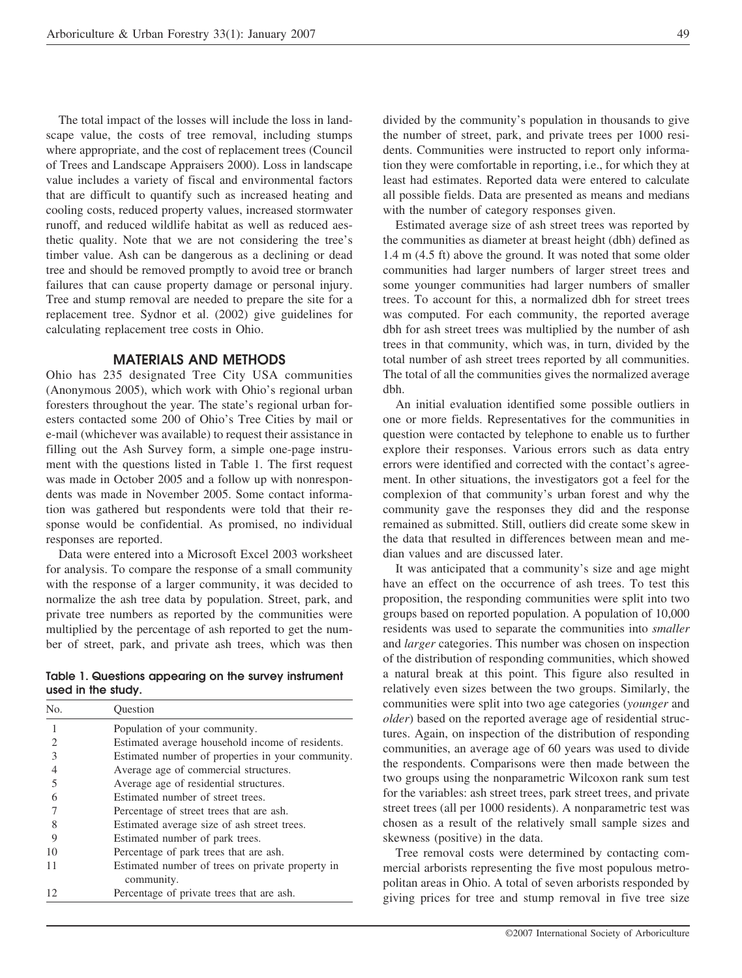The total impact of the losses will include the loss in landscape value, the costs of tree removal, including stumps where appropriate, and the cost of replacement trees (Council of Trees and Landscape Appraisers 2000). Loss in landscape value includes a variety of fiscal and environmental factors that are difficult to quantify such as increased heating and cooling costs, reduced property values, increased stormwater runoff, and reduced wildlife habitat as well as reduced aesthetic quality. Note that we are not considering the tree's timber value. Ash can be dangerous as a declining or dead tree and should be removed promptly to avoid tree or branch failures that can cause property damage or personal injury. Tree and stump removal are needed to prepare the site for a replacement tree. Sydnor et al. (2002) give guidelines for calculating replacement tree costs in Ohio.

#### **MATERIALS AND METHODS**

Ohio has 235 designated Tree City USA communities (Anonymous 2005), which work with Ohio's regional urban foresters throughout the year. The state's regional urban foresters contacted some 200 of Ohio's Tree Cities by mail or e-mail (whichever was available) to request their assistance in filling out the Ash Survey form, a simple one-page instrument with the questions listed in Table 1. The first request was made in October 2005 and a follow up with nonrespondents was made in November 2005. Some contact information was gathered but respondents were told that their response would be confidential. As promised, no individual responses are reported.

Data were entered into a Microsoft Excel 2003 worksheet for analysis. To compare the response of a small community with the response of a larger community, it was decided to normalize the ash tree data by population. Street, park, and private tree numbers as reported by the communities were multiplied by the percentage of ash reported to get the number of street, park, and private ash trees, which was then

**Table 1. Questions appearing on the survey instrument used in the study.**

| No.           | Ouestion                                          |
|---------------|---------------------------------------------------|
|               | Population of your community.                     |
| 2             | Estimated average household income of residents.  |
| $\mathcal{E}$ | Estimated number of properties in your community. |
|               | Average age of commercial structures.             |
|               | Average age of residential structures.            |
|               | Estimated number of street trees.                 |
|               | Percentage of street trees that are ash.          |
|               | Estimated average size of ash street trees.       |
| 9             | Estimated number of park trees.                   |
| 10            | Percentage of park trees that are ash.            |
| 11            | Estimated number of trees on private property in  |
|               | community.                                        |
| 12            | Percentage of private trees that are ash.         |

divided by the community's population in thousands to give the number of street, park, and private trees per 1000 residents. Communities were instructed to report only information they were comfortable in reporting, i.e., for which they at least had estimates. Reported data were entered to calculate all possible fields. Data are presented as means and medians with the number of category responses given.

Estimated average size of ash street trees was reported by the communities as diameter at breast height (dbh) defined as 1.4 m (4.5 ft) above the ground. It was noted that some older communities had larger numbers of larger street trees and some younger communities had larger numbers of smaller trees. To account for this, a normalized dbh for street trees was computed. For each community, the reported average dbh for ash street trees was multiplied by the number of ash trees in that community, which was, in turn, divided by the total number of ash street trees reported by all communities. The total of all the communities gives the normalized average dbh.

An initial evaluation identified some possible outliers in one or more fields. Representatives for the communities in question were contacted by telephone to enable us to further explore their responses. Various errors such as data entry errors were identified and corrected with the contact's agreement. In other situations, the investigators got a feel for the complexion of that community's urban forest and why the community gave the responses they did and the response remained as submitted. Still, outliers did create some skew in the data that resulted in differences between mean and median values and are discussed later.

It was anticipated that a community's size and age might have an effect on the occurrence of ash trees. To test this proposition, the responding communities were split into two groups based on reported population. A population of 10,000 residents was used to separate the communities into *smaller* and *larger* categories. This number was chosen on inspection of the distribution of responding communities, which showed a natural break at this point. This figure also resulted in relatively even sizes between the two groups. Similarly, the communities were split into two age categories (*younger* and *older*) based on the reported average age of residential structures. Again, on inspection of the distribution of responding communities, an average age of 60 years was used to divide the respondents. Comparisons were then made between the two groups using the nonparametric Wilcoxon rank sum test for the variables: ash street trees, park street trees, and private street trees (all per 1000 residents). A nonparametric test was chosen as a result of the relatively small sample sizes and skewness (positive) in the data.

Tree removal costs were determined by contacting commercial arborists representing the five most populous metropolitan areas in Ohio. A total of seven arborists responded by giving prices for tree and stump removal in five tree size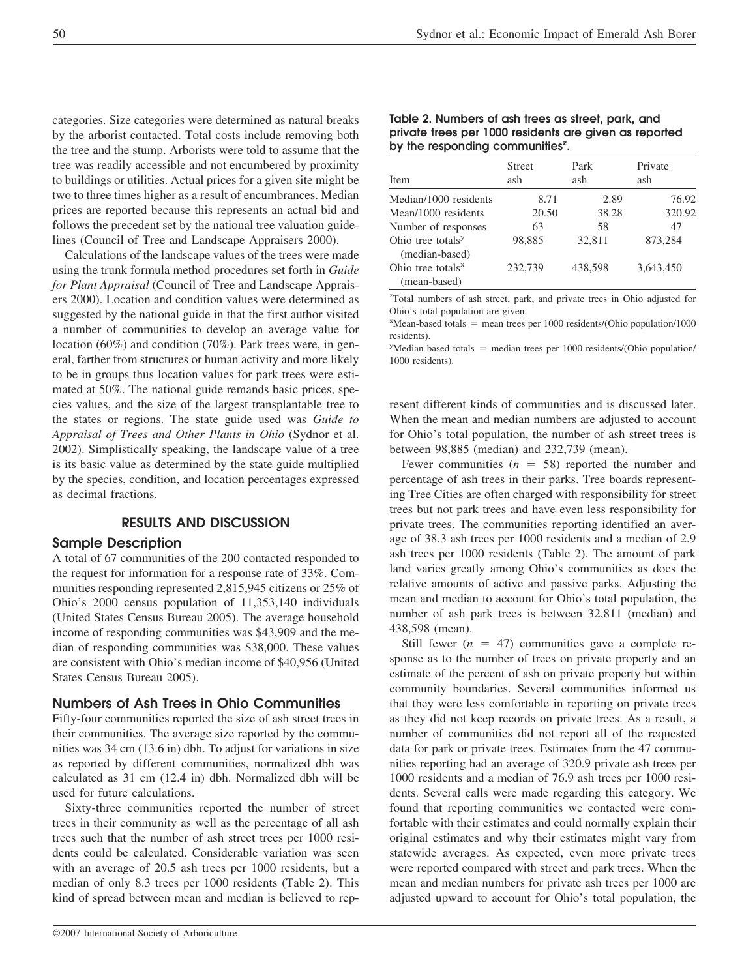categories. Size categories were determined as natural breaks by the arborist contacted. Total costs include removing both the tree and the stump. Arborists were told to assume that the tree was readily accessible and not encumbered by proximity to buildings or utilities. Actual prices for a given site might be two to three times higher as a result of encumbrances. Median prices are reported because this represents an actual bid and follows the precedent set by the national tree valuation guidelines (Council of Tree and Landscape Appraisers 2000).

Calculations of the landscape values of the trees were made using the trunk formula method procedures set forth in *Guide for Plant Appraisal* (Council of Tree and Landscape Appraisers 2000). Location and condition values were determined as suggested by the national guide in that the first author visited a number of communities to develop an average value for location (60%) and condition (70%). Park trees were, in general, farther from structures or human activity and more likely to be in groups thus location values for park trees were estimated at 50%. The national guide remands basic prices, species values, and the size of the largest transplantable tree to the states or regions. The state guide used was *Guide to Appraisal of Trees and Other Plants in Ohio* (Sydnor et al. 2002). Simplistically speaking, the landscape value of a tree is its basic value as determined by the state guide multiplied by the species, condition, and location percentages expressed as decimal fractions.

## **RESULTS AND DISCUSSION**

## **Sample Description**

A total of 67 communities of the 200 contacted responded to the request for information for a response rate of 33%. Communities responding represented 2,815,945 citizens or 25% of Ohio's 2000 census population of 11,353,140 individuals (United States Census Bureau 2005). The average household income of responding communities was \$43,909 and the median of responding communities was \$38,000. These values are consistent with Ohio's median income of \$40,956 (United States Census Bureau 2005).

## **Numbers of Ash Trees in Ohio Communities**

Fifty-four communities reported the size of ash street trees in their communities. The average size reported by the communities was 34 cm (13.6 in) dbh. To adjust for variations in size as reported by different communities, normalized dbh was calculated as 31 cm (12.4 in) dbh. Normalized dbh will be used for future calculations.

Sixty-three communities reported the number of street trees in their community as well as the percentage of all ash trees such that the number of ash street trees per 1000 residents could be calculated. Considerable variation was seen with an average of 20.5 ash trees per 1000 residents, but a median of only 8.3 trees per 1000 residents (Table 2). This kind of spread between mean and median is believed to rep-

#### **Table 2. Numbers of ash trees as street, park, and private trees per 1000 residents are given as reported** by the responding communities<sup>2</sup>.

| Item                                            | <b>Street</b><br>ash | Park<br>ash | Private<br>ash |
|-------------------------------------------------|----------------------|-------------|----------------|
| Median/1000 residents                           | 8.71                 | 2.89        | 76.92          |
| Mean/1000 residents                             | 20.50                | 38.28       | 320.92         |
| Number of responses                             | 63                   | 58          | 47             |
| Ohio tree totals <sup>y</sup><br>(median-based) | 98.885               | 32.811      | 873.284        |
| Ohio tree totals $x$<br>(mean-based)            | 232,739              | 438.598     | 3.643.450      |

z Total numbers of ash street, park, and private trees in Ohio adjusted for Ohio's total population are given.

 $x$ Mean-based totals = mean trees per 1000 residents/(Ohio population/1000 residents).

<sup>y</sup>Median-based totals = median trees per 1000 residents/(Ohio population/ 1000 residents).

resent different kinds of communities and is discussed later. When the mean and median numbers are adjusted to account for Ohio's total population, the number of ash street trees is between 98,885 (median) and 232,739 (mean).

Fewer communities  $(n = 58)$  reported the number and percentage of ash trees in their parks. Tree boards representing Tree Cities are often charged with responsibility for street trees but not park trees and have even less responsibility for private trees. The communities reporting identified an average of 38.3 ash trees per 1000 residents and a median of 2.9 ash trees per 1000 residents (Table 2). The amount of park land varies greatly among Ohio's communities as does the relative amounts of active and passive parks. Adjusting the mean and median to account for Ohio's total population, the number of ash park trees is between 32,811 (median) and 438,598 (mean).

Still fewer  $(n = 47)$  communities gave a complete response as to the number of trees on private property and an estimate of the percent of ash on private property but within community boundaries. Several communities informed us that they were less comfortable in reporting on private trees as they did not keep records on private trees. As a result, a number of communities did not report all of the requested data for park or private trees. Estimates from the 47 communities reporting had an average of 320.9 private ash trees per 1000 residents and a median of 76.9 ash trees per 1000 residents. Several calls were made regarding this category. We found that reporting communities we contacted were comfortable with their estimates and could normally explain their original estimates and why their estimates might vary from statewide averages. As expected, even more private trees were reported compared with street and park trees. When the mean and median numbers for private ash trees per 1000 are adjusted upward to account for Ohio's total population, the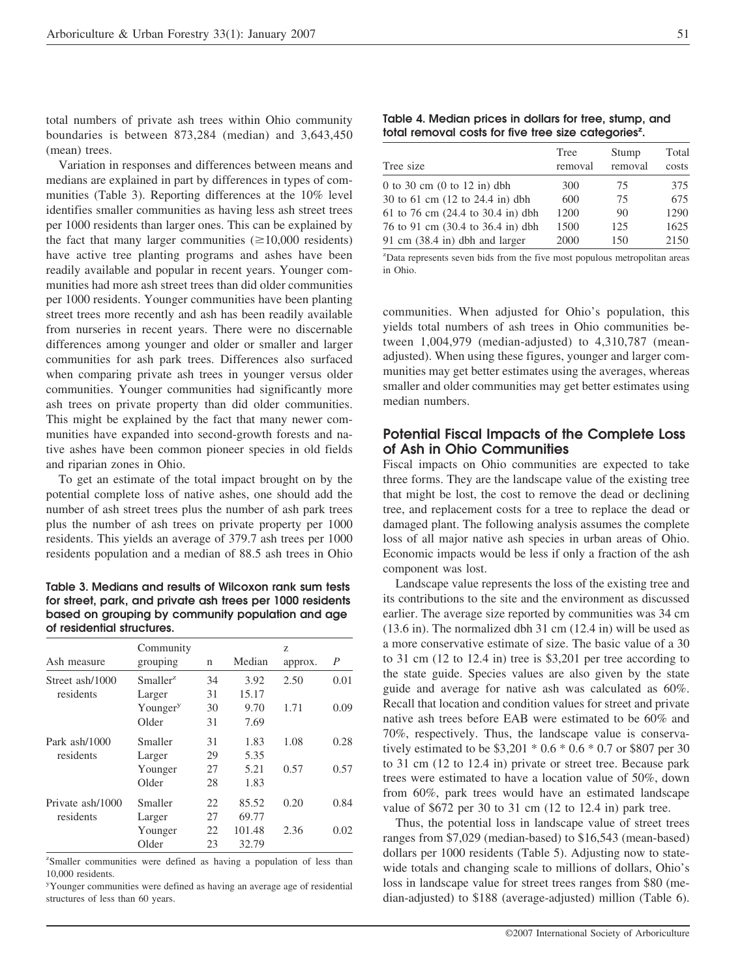total numbers of private ash trees within Ohio community boundaries is between 873,284 (median) and 3,643,450 (mean) trees.

Variation in responses and differences between means and medians are explained in part by differences in types of communities (Table 3). Reporting differences at the 10% level identifies smaller communities as having less ash street trees per 1000 residents than larger ones. This can be explained by the fact that many larger communities  $(\geq 10,000$  residents) have active tree planting programs and ashes have been readily available and popular in recent years. Younger communities had more ash street trees than did older communities per 1000 residents. Younger communities have been planting street trees more recently and ash has been readily available from nurseries in recent years. There were no discernable differences among younger and older or smaller and larger communities for ash park trees. Differences also surfaced when comparing private ash trees in younger versus older communities. Younger communities had significantly more ash trees on private property than did older communities. This might be explained by the fact that many newer communities have expanded into second-growth forests and native ashes have been common pioneer species in old fields and riparian zones in Ohio.

To get an estimate of the total impact brought on by the potential complete loss of native ashes, one should add the number of ash street trees plus the number of ash park trees plus the number of ash trees on private property per 1000 residents. This yields an average of 379.7 ash trees per 1000 residents population and a median of 88.5 ash trees in Ohio

**Table 3. Medians and results of Wilcoxon rank sum tests for street, park, and private ash trees per 1000 residents based on grouping by community population and age of residential structures.**

| Ash measure      | Community<br>grouping | n  | Median | Z<br>approx. | $\boldsymbol{P}$ |
|------------------|-----------------------|----|--------|--------------|------------------|
| Street ash/1000  | Smaller <sup>z</sup>  | 34 | 3.92   | 2.50         | 0.01             |
| residents        | Larger                | 31 | 15.17  |              |                  |
|                  | Younger <sup>y</sup>  | 30 | 9.70   | 1.71         | 0.09             |
|                  | Older                 | 31 | 7.69   |              |                  |
| Park ash/1000    | Smaller               | 31 | 1.83   | 1.08         | 0.28             |
| residents        | Larger                | 29 | 5.35   |              |                  |
|                  | Younger               | 27 | 5.21   | 0.57         | 0.57             |
|                  | Older                 | 28 | 1.83   |              |                  |
| Private ash/1000 | Smaller               | 22 | 85.52  | 0.20         | 0.84             |
| residents        | Larger                | 27 | 69.77  |              |                  |
|                  | Younger               | 22 | 101.48 | 2.36         | 0.02             |
|                  | Older                 | 23 | 32.79  |              |                  |

<sup>z</sup>Smaller communities were defined as having a population of less than 10,000 residents.

y Younger communities were defined as having an average age of residential structures of less than 60 years.

**Table 4. Median prices in dollars for tree, stump, and** total removal costs for five tree size categories<sup>z</sup>.

| Tree    | Stump   | Total |  |
|---------|---------|-------|--|
| removal | removal | costs |  |
| 300     | 75      | 375   |  |
| 600     | 75      | 675   |  |
| 1200    | 90      | 1290  |  |
| 1500    | 125     | 1625  |  |
| 2000    | 150     | 2150  |  |
|         |         |       |  |

z Data represents seven bids from the five most populous metropolitan areas in Ohio.

communities. When adjusted for Ohio's population, this yields total numbers of ash trees in Ohio communities between 1,004,979 (median-adjusted) to 4,310,787 (meanadjusted). When using these figures, younger and larger communities may get better estimates using the averages, whereas smaller and older communities may get better estimates using median numbers.

## **Potential Fiscal Impacts of the Complete Loss of Ash in Ohio Communities**

Fiscal impacts on Ohio communities are expected to take three forms. They are the landscape value of the existing tree that might be lost, the cost to remove the dead or declining tree, and replacement costs for a tree to replace the dead or damaged plant. The following analysis assumes the complete loss of all major native ash species in urban areas of Ohio. Economic impacts would be less if only a fraction of the ash component was lost.

Landscape value represents the loss of the existing tree and its contributions to the site and the environment as discussed earlier. The average size reported by communities was 34 cm (13.6 in). The normalized dbh 31 cm (12.4 in) will be used as a more conservative estimate of size. The basic value of a 30 to 31 cm (12 to 12.4 in) tree is \$3,201 per tree according to the state guide. Species values are also given by the state guide and average for native ash was calculated as 60%. Recall that location and condition values for street and private native ash trees before EAB were estimated to be 60% and 70%, respectively. Thus, the landscape value is conservatively estimated to be \$3,201 \* 0.6 \* 0.6 \* 0.7 or \$807 per 30 to 31 cm (12 to 12.4 in) private or street tree. Because park trees were estimated to have a location value of 50%, down from 60%, park trees would have an estimated landscape value of \$672 per 30 to 31 cm (12 to 12.4 in) park tree.

Thus, the potential loss in landscape value of street trees ranges from \$7,029 (median-based) to \$16,543 (mean-based) dollars per 1000 residents (Table 5). Adjusting now to statewide totals and changing scale to millions of dollars, Ohio's loss in landscape value for street trees ranges from \$80 (median-adjusted) to \$188 (average-adjusted) million (Table 6).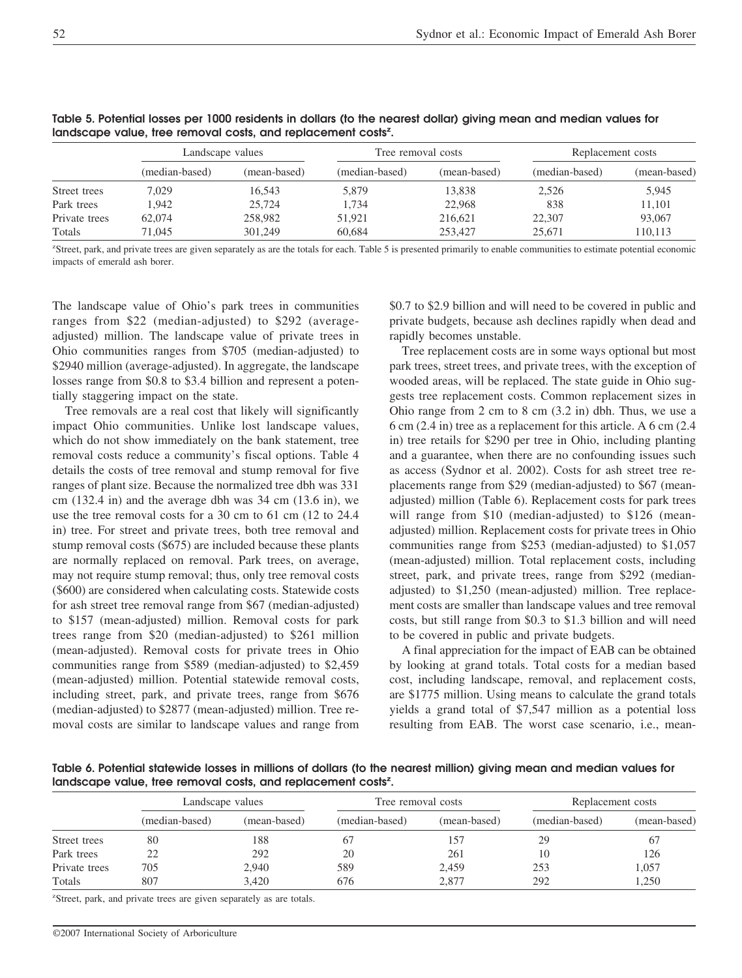|               | Landscape values |              | Tree removal costs |              | Replacement costs |              |
|---------------|------------------|--------------|--------------------|--------------|-------------------|--------------|
|               | (median-based)   | (mean-based) | (median-based)     | (mean-based) | (median-based)    | (mean-based) |
| Street trees  | 7.029            | 16.543       | 5.879              | 13.838       | 2.526             | 5,945        |
| Park trees    | 1.942            | 25,724       | 1.734              | 22,968       | 838               | 11.101       |
| Private trees | 62,074           | 258,982      | 51.921             | 216.621      | 22,307            | 93,067       |
| Totals        | 71.045           | 301,249      | 60.684             | 253,427      | 25,671            | 110,113      |

**Table 5. Potential losses per 1000 residents in dollars (to the nearest dollar) giving mean and median values for** landscape value, tree removal costs, and replacement costs<sup>z</sup>.

z Street, park, and private trees are given separately as are the totals for each. Table 5 is presented primarily to enable communities to estimate potential economic impacts of emerald ash borer.

The landscape value of Ohio's park trees in communities ranges from \$22 (median-adjusted) to \$292 (averageadjusted) million. The landscape value of private trees in Ohio communities ranges from \$705 (median-adjusted) to \$2940 million (average-adjusted). In aggregate, the landscape losses range from \$0.8 to \$3.4 billion and represent a potentially staggering impact on the state.

Tree removals are a real cost that likely will significantly impact Ohio communities. Unlike lost landscape values, which do not show immediately on the bank statement, tree removal costs reduce a community's fiscal options. Table 4 details the costs of tree removal and stump removal for five ranges of plant size. Because the normalized tree dbh was 331 cm (132.4 in) and the average dbh was 34 cm (13.6 in), we use the tree removal costs for a 30 cm to 61 cm (12 to 24.4 in) tree. For street and private trees, both tree removal and stump removal costs (\$675) are included because these plants are normally replaced on removal. Park trees, on average, may not require stump removal; thus, only tree removal costs (\$600) are considered when calculating costs. Statewide costs for ash street tree removal range from \$67 (median-adjusted) to \$157 (mean-adjusted) million. Removal costs for park trees range from \$20 (median-adjusted) to \$261 million (mean-adjusted). Removal costs for private trees in Ohio communities range from \$589 (median-adjusted) to \$2,459 (mean-adjusted) million. Potential statewide removal costs, including street, park, and private trees, range from \$676 (median-adjusted) to \$2877 (mean-adjusted) million. Tree removal costs are similar to landscape values and range from

\$0.7 to \$2.9 billion and will need to be covered in public and private budgets, because ash declines rapidly when dead and rapidly becomes unstable.

Tree replacement costs are in some ways optional but most park trees, street trees, and private trees, with the exception of wooded areas, will be replaced. The state guide in Ohio suggests tree replacement costs. Common replacement sizes in Ohio range from 2 cm to 8 cm (3.2 in) dbh. Thus, we use a 6 cm (2.4 in) tree as a replacement for this article. A 6 cm (2.4 in) tree retails for \$290 per tree in Ohio, including planting and a guarantee, when there are no confounding issues such as access (Sydnor et al. 2002). Costs for ash street tree replacements range from \$29 (median-adjusted) to \$67 (meanadjusted) million (Table 6). Replacement costs for park trees will range from \$10 (median-adjusted) to \$126 (meanadjusted) million. Replacement costs for private trees in Ohio communities range from \$253 (median-adjusted) to \$1,057 (mean-adjusted) million. Total replacement costs, including street, park, and private trees, range from \$292 (medianadjusted) to \$1,250 (mean-adjusted) million. Tree replacement costs are smaller than landscape values and tree removal costs, but still range from \$0.3 to \$1.3 billion and will need to be covered in public and private budgets.

A final appreciation for the impact of EAB can be obtained by looking at grand totals. Total costs for a median based cost, including landscape, removal, and replacement costs, are \$1775 million. Using means to calculate the grand totals yields a grand total of \$7,547 million as a potential loss resulting from EAB. The worst case scenario, i.e., mean-

**Table 6. Potential statewide losses in millions of dollars (to the nearest million) giving mean and median values for** landscape value, tree removal costs, and replacement costs<sup>z</sup>.

|               | Landscape values |              | Tree removal costs |              | Replacement costs |              |
|---------------|------------------|--------------|--------------------|--------------|-------------------|--------------|
|               | (median-based)   | (mean-based) | (median-based)     | (mean-based) | (median-based)    | (mean-based) |
| Street trees  | 80               | 188          | 67                 | 157          | 29                | 67           |
| Park trees    |                  | 292          | 20                 | 261          | 10                | 126          |
| Private trees | 705              | 2,940        | 589                | 2,459        | 253               | 1,057        |
| Totals        | 807              | 3,420        | 676                | 2.877        | 292               | 1,250        |

<sup>z</sup>Street, park, and private trees are given separately as are totals.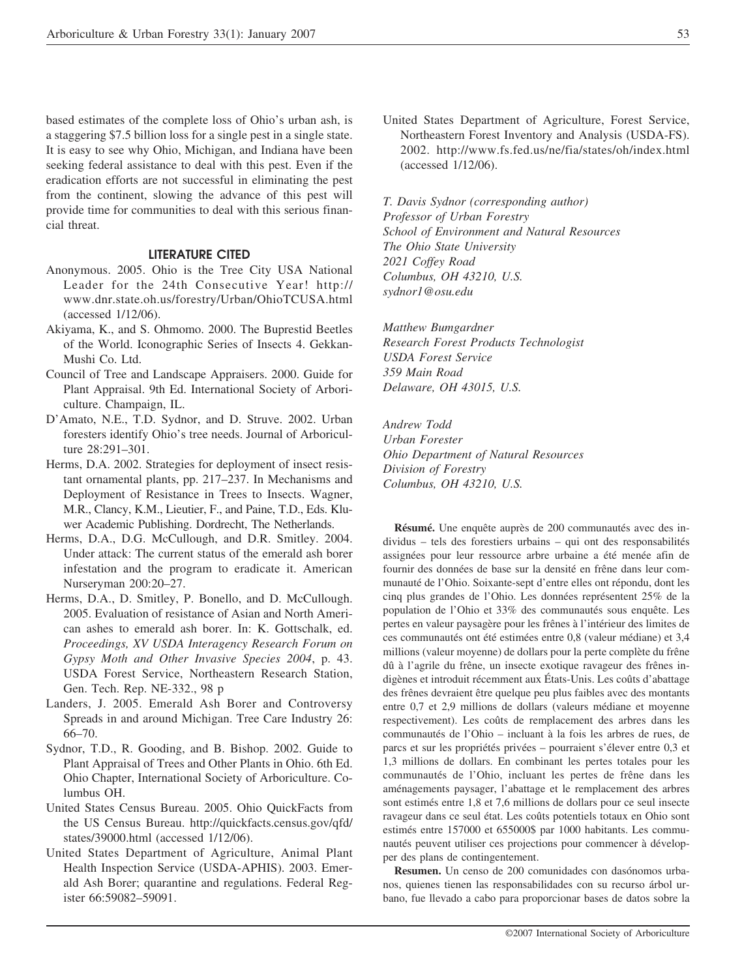based estimates of the complete loss of Ohio's urban ash, is a staggering \$7.5 billion loss for a single pest in a single state. It is easy to see why Ohio, Michigan, and Indiana have been seeking federal assistance to deal with this pest. Even if the eradication efforts are not successful in eliminating the pest from the continent, slowing the advance of this pest will provide time for communities to deal with this serious financial threat.

#### **LITERATURE CITED**

- Anonymous. 2005. Ohio is the Tree City USA National Leader for the 24th Consecutive Year! http:// www.dnr.state.oh.us/forestry/Urban/OhioTCUSA.html (accessed 1/12/06).
- Akiyama, K., and S. Ohmomo. 2000. The Buprestid Beetles of the World. Iconographic Series of Insects 4. Gekkan-Mushi Co. Ltd.
- Council of Tree and Landscape Appraisers. 2000. Guide for Plant Appraisal. 9th Ed. International Society of Arboriculture. Champaign, IL.
- D'Amato, N.E., T.D. Sydnor, and D. Struve. 2002. Urban foresters identify Ohio's tree needs. Journal of Arboriculture 28:291–301.
- Herms, D.A. 2002. Strategies for deployment of insect resistant ornamental plants, pp. 217–237. In Mechanisms and Deployment of Resistance in Trees to Insects. Wagner, M.R., Clancy, K.M., Lieutier, F., and Paine, T.D., Eds. Kluwer Academic Publishing. Dordrecht, The Netherlands.
- Herms, D.A., D.G. McCullough, and D.R. Smitley. 2004. Under attack: The current status of the emerald ash borer infestation and the program to eradicate it. American Nurseryman 200:20–27.
- Herms, D.A., D. Smitley, P. Bonello, and D. McCullough. 2005. Evaluation of resistance of Asian and North American ashes to emerald ash borer. In: K. Gottschalk, ed. *Proceedings, XV USDA Interagency Research Forum on Gypsy Moth and Other Invasive Species 2004*, p. 43. USDA Forest Service, Northeastern Research Station, Gen. Tech. Rep. NE-332., 98 p
- Landers, J. 2005. Emerald Ash Borer and Controversy Spreads in and around Michigan. Tree Care Industry 26: 66–70.
- Sydnor, T.D., R. Gooding, and B. Bishop. 2002. Guide to Plant Appraisal of Trees and Other Plants in Ohio. 6th Ed. Ohio Chapter, International Society of Arboriculture. Columbus OH.
- United States Census Bureau. 2005. Ohio QuickFacts from the US Census Bureau. http://quickfacts.census.gov/qfd/ states/39000.html (accessed 1/12/06).
- United States Department of Agriculture, Animal Plant Health Inspection Service (USDA-APHIS). 2003. Emerald Ash Borer; quarantine and regulations. Federal Register 66:59082–59091.

United States Department of Agriculture, Forest Service, Northeastern Forest Inventory and Analysis (USDA-FS). 2002. http://www.fs.fed.us/ne/fia/states/oh/index.html (accessed 1/12/06).

*T. Davis Sydnor (corresponding author) Professor of Urban Forestry School of Environment and Natural Resources The Ohio State University 2021 Coffey Road Columbus, OH 43210, U.S. sydnor1@osu.edu*

*Matthew Bumgardner Research Forest Products Technologist USDA Forest Service 359 Main Road Delaware, OH 43015, U.S.*

*Andrew Todd Urban Forester Ohio Department of Natural Resources Division of Forestry Columbus, OH 43210, U.S.*

**Résumé.** Une enquête auprès de 200 communautés avec des individus – tels des forestiers urbains – qui ont des responsabilités assignées pour leur ressource arbre urbaine a été menée afin de fournir des données de base sur la densité en frêne dans leur communauté de l'Ohio. Soixante-sept d'entre elles ont répondu, dont les cinq plus grandes de l'Ohio. Les données représentent 25% de la population de l'Ohio et 33% des communautés sous enquête. Les pertes en valeur paysagère pour les frênes à l'intérieur des limites de ces communautés ont été estimées entre 0,8 (valeur médiane) et 3,4 millions (valeur moyenne) de dollars pour la perte complète du frêne dû à l'agrile du frêne, un insecte exotique ravageur des frênes indigènes et introduit récemment aux États-Unis. Les coûts d'abattage des frênes devraient être quelque peu plus faibles avec des montants entre 0,7 et 2,9 millions de dollars (valeurs médiane et moyenne respectivement). Les coûts de remplacement des arbres dans les communautés de l'Ohio – incluant à la fois les arbres de rues, de parcs et sur les propriétés privées – pourraient s'élever entre 0,3 et 1,3 millions de dollars. En combinant les pertes totales pour les communautés de l'Ohio, incluant les pertes de frêne dans les aménagements paysager, l'abattage et le remplacement des arbres sont estimés entre 1,8 et 7,6 millions de dollars pour ce seul insecte ravageur dans ce seul état. Les coûts potentiels totaux en Ohio sont estimés entre 157000 et 655000\$ par 1000 habitants. Les communautés peuvent utiliser ces projections pour commencer à développer des plans de contingentement.

**Resumen.** Un censo de 200 comunidades con dasónomos urbanos, quienes tienen las responsabilidades con su recurso árbol urbano, fue llevado a cabo para proporcionar bases de datos sobre la